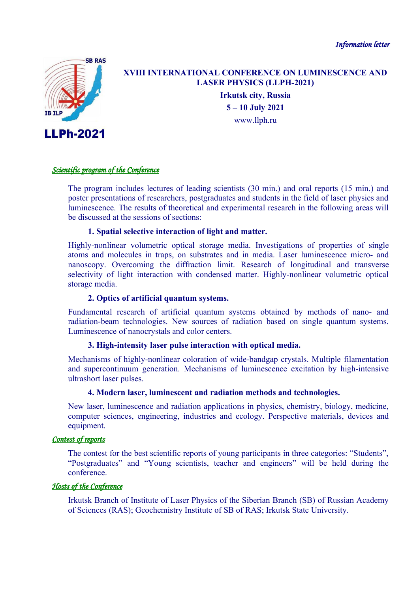*Information letter*



# **XVIII INTERNATIONAL CONFERENCE ON LUMINESCENCE AND LASER PHYSICS (LLPH-2021)**

**Irkutsk city, Russia 5 – 10 July 2021** [www.llph.ru](http://www.llph.ru/)

## *Scientific program of the Conference*

The program includes lectures of leading scientists (30 min.) and oral reports (15 min.) and poster presentations of researchers, postgraduates and students in the field of laser physics and luminescence. The results of theoretical and experimental research in the following areas will be discussed at the sessions of sections:

#### **1. Spatial selective interaction of light and matter.**

Highly-nonlinear volumetric optical storage media. Investigations of properties of single atoms and molecules in traps, on substrates and in media. Laser luminescence micro- and nanoscopy. Overcoming the diffraction limit. Research of longitudinal and transverse selectivity of light interaction with condensed matter. Highly-nonlinear volumetric optical storage media.

## **2. Optics of artificial quantum systems.**

Fundamental research of artificial quantum systems obtained by methods of nano- and radiation-beam technologies. New sources of radiation based on single quantum systems. Luminescence of nanocrystals and color centers.

#### **3. High-intensity laser pulse interaction with optical media.**

Mechanisms of highly-nonlinear coloration of wide-bandgap crystals. Multiple filamentation and supercontinuum generation. Mechanisms of luminescence excitation by high-intensive ultrashort laser pulses.

#### **4. Modern laser, luminescent and radiation methods and technologies.**

New laser, luminescence and radiation applications in physics, chemistry, biology, medicine, computer sciences, engineering, industries and ecology. Perspective materials, devices and equipment.

# *Contest of reports*

The contest for the best scientific reports of young participants in three categories: "Students", "Postgraduates" and "Young scientists, teacher and engineers" will be held during the conference.

# *Hosts of the Conference*

Irkutsk Branch of Institute of Laser Physics of the Siberian Branch (SB) of Russian Academy of Sciences (RAS); Geochemistry Institute of SB of RAS; Irkutsk State University.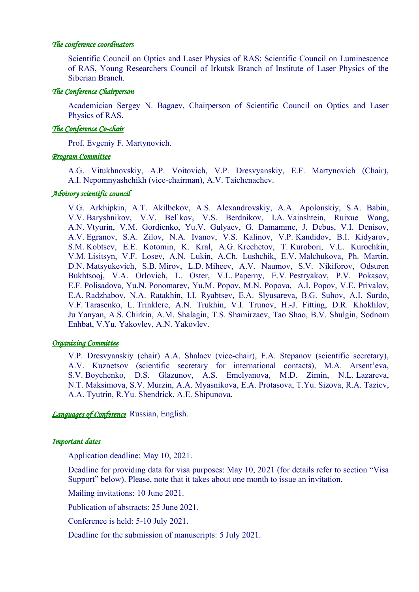## *The conference coordinators*

Scientific Council on Optics and Laser Physics of RAS; Scientific Council on Luminescence of RAS, Young Researchers Council of Irkutsk Branch of Institute of Laser Physics of the Siberian Branch.

## *The Conference Chairperson*

Academician Sergey N. Bagaev, Chairperson of Scientific Council on Optics and Laser Physics of RAS.

## *The Conference Co-chair*

Prof. Evgeniy F. Martynovich.

## *Program Committee*

A.G. Vitukhnovskiy, A.P. Voitovich, V.P. Dresvyanskiy, E.F. Martynovich (Chair), A.I. Nepomnyashchikh (vice-chairman), A.V. Taichenachev.

## *Advisory scientific council*

V.G. Arkhipkin, A.T. Akilbekov, A.S. Alexandrovskiy, A.A. Apolonskiy, S.A. Babin, V.V. Baryshnikov, V.V. Bel`kov, V.S. Berdnikov, I.A. Vainshtein, Ruixue Wang, A.N. Vtyurin, V.M. Gordienko, Yu.V. Gulyaev, G. Damamme, J. Debus, V.I. Denisov, A.V. Egranov, S.A. Zilov, N.A. Ivanov, V.S. Kalinov, V.P. Kandidov, B.I. Kidyarov, S.M. Kobtsev, E.E. Kotomin, K. Kral, A.G. Krechetov, T. Kurobori, V.L. Kurochkin, V.M. Lisitsyn, V.F. Losev, A.N. Lukin, A.Ch. Lushchik, E.V. Malchukova, Ph. Martin, D.N. Matsyukevich, S.B. Mirov, L.D. Miheev, A.V. Naumov, S.V. Nikiforov, Odsuren Bukhtsooj, V.A. Orlovich, L. Oster, V.L. Paperny, E.V. Pestryakov, P.V. Pokasov, E.F. Polisadova, Yu.N. Ponomarev, Yu.M. Popov, M.N. Popova, A.I. Popov, V.E. Privalov, E.A. Radzhabov, N.A. Ratakhin, I.I. Ryabtsev, E.A. Slyusareva, B.G. Suhov, A.I. Surdo, V.F. Tarasenko, L. Trinklere, A.N. Trukhin, V.I. Trunov, H.-J. Fitting, D.R. Khokhlov, Ju Yanyan, A.S. Chirkin, A.M. Shalagin, T.S. Shamirzaev, Tao Shao, B.V. Shulgin, Sodnom Enhbat, V.Yu. Yakovlev, A.N. Yakovlev.

#### *Organizing Committee*

V.P. Dresvyanskiy (chair) A.A. Shalaev (vice-chair), F.A. Stepanov (scientific secretary), A.V. Kuznetsov (scientific secretary for international contacts), M.A. Arsent'eva, S.V. Boychenko, D.S. Glazunov, A.S. Emelyanova, M.D. Zimin, N.L. Lazareva, N.T. Maksimova, S.V. Murzin, A.A. Myasnikova, E.A. Protasova, T.Yu. Sizova, R.A. Taziev, A.A. Tyutrin, R.Yu. Shendrick, A.E. Shipunova.

*Languages of Conference* Russian, English.

# *Important dates*

Application deadline: May 10, 2021.

Deadline for providing data for visa purposes: May 10, 2021 (for details refer to section "Visa Support" below). Please, note that it takes about one month to issue an invitation.

Mailing invitations: 10 June 2021.

Publication of abstracts: 25 June 2021.

Conference is held: 5-10 July 2021.

Deadline for the submission of manuscripts: 5 July 2021.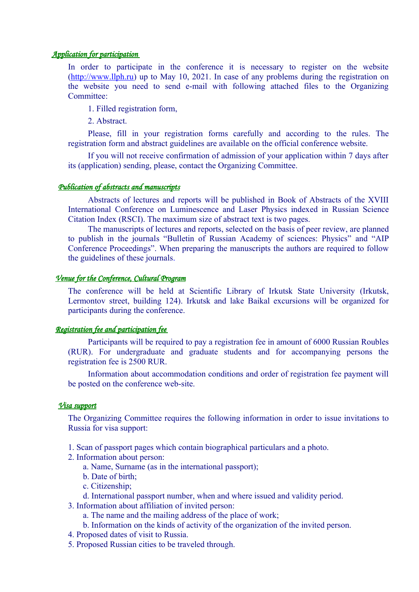## *Application for participation*

In order to participate in the conference it is necessary to register on the website ([http://www.llph.ru](http://www.llph.ru/)) up to May 10, 2021. In case of any problems during the registration on the website you need to send e-mail with following attached files to the Organizing Committee:

1. Filled registration form,

2. Abstract.

Please, fill in your registration forms carefully and according to the rules. The registration form and abstract guidelines are available on the official conference website.

If you will not receive confirmation of admission of your application within 7 days after its (application) sending, please, contact the Organizing Committee.

#### *Publication of abstracts and manuscripts*

Abstracts of lectures and reports will be published in Book of Abstracts of the XVIII International Conference on Luminescence and Laser Physics indexed in Russian Science Citation Index (RSCI). The maximum size of abstract text is two pages.

The manuscripts of lectures and reports, selected on the basis of peer review, are planned to publish in the journals "Bulletin of Russian Academy of sciences: Physics" and "AIP Conference Proceedings". When preparing the manuscripts the authors are required to follow the guidelines of these journals.

# *Venue for the Conference, Cultural Program*

The conference will be held at Scientific Library of Irkutsk State University (Irkutsk, Lermontov street, building 124). Irkutsk and lake Baikal excursions will be organized for participants during the conference.

#### *Registration fee and participation fee*

Participants will be required to pay a registration fee in amount of 6000 Russian Roubles (RUR). For undergraduate and graduate students and for accompanying persons the registration fee is 2500 RUR.

Information about accommodation conditions and order of registration fee payment will be posted on the conference web-site.

## *Visa support*

The Organizing Committee requires the following information in order to issue invitations to Russia for visa support:

- 1. Scan of passport pages which contain biographical particulars and a photo.
- 2. Information about person:
	- a. Name, Surname (as in the international passport);
	- b. Date of birth;
	- c. Citizenship;
	- d. International passport number, when and where issued and validity period.
- 3. Information about affiliation of invited person:
	- a. The name and the mailing address of the place of work;
	- b. Information on the kinds of activity of the organization of the invited person.
- 4. Proposed dates of visit to Russia.
- 5. Proposed Russian cities to be traveled through.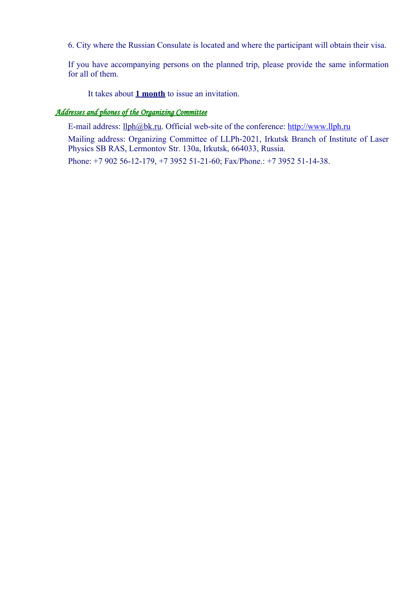6. City where the Russian Consulate is located and where the participant will obtain their visa.

If you have accompanying persons on the planned trip, please provide the same information for all of them.

It takes about **1 month** to issue an invitation.

# *Addresses and phones of the Organizing Committee*

E-mail address:  $llph@bk.ru$ . Official web-site of the conference:  $http://www.llph.ru$ 

Mailing address: Organizing Committee of LLPh-2021, Irkutsk Branch of Institute of Laser Physics SB RAS, Lermontov Str. 130a, Irkutsk, 664033, Russia.

Phone: +7 902 56-12-179, +7 3952 51-21-60; Fax/Phone.: +7 3952 51-14-38.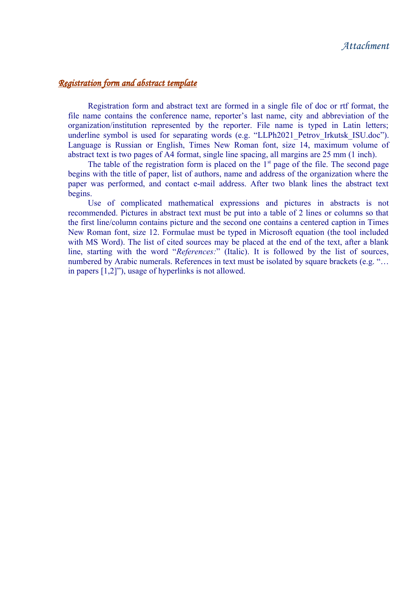# *Registration form and abstract template*

Registration form and abstract text are formed in a single file of doc or rtf format, the file name contains the conference name, reporter's last name, city and abbreviation of the organization/institution represented by the reporter. File name is typed in Latin letters; underline symbol is used for separating words (e.g. "LLPh2021 Petrov Irkutsk ISU.doc"). Language is Russian or English, Times New Roman font, size 14, maximum volume of abstract text is two pages of А4 format, single line spacing, all margins are 25 mm (1 inch).

The table of the registration form is placed on the  $1<sup>st</sup>$  page of the file. The second page begins with the title of paper, list of authors, name and address of the organization where the paper was performed, and contact e-mail address. After two blank lines the abstract text begins.

Use of complicated mathematical expressions and pictures in abstracts is not recommended. Pictures in abstract text must be put into a table of 2 lines or columns so that the first line/column contains picture and the second one contains a centered caption in Times New Roman font, size 12. Formulae must be typed in Microsoft equation (the tool included with MS Word). The list of cited sources may be placed at the end of the text, after a blank line, starting with the word "*References:*" (Italic). It is followed by the list of sources, numbered by Arabic numerals. References in text must be isolated by square brackets (e.g. "… in papers [1,2]"), usage of hyperlinks is not allowed.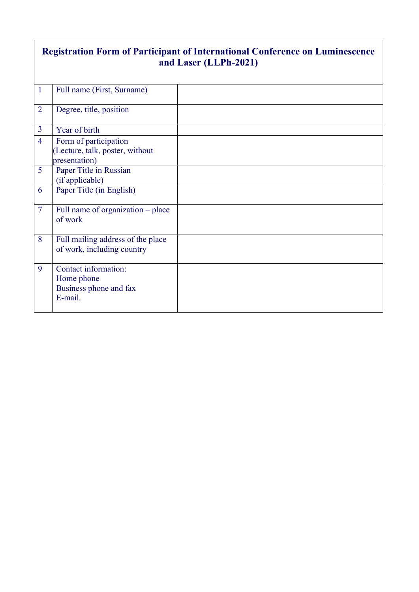# **Registration Form of Participant of International Conference on Luminescence and Laser (LLPh-2021)**

| $\mathbf{1}$   | Full name (First, Surname)                                                |  |
|----------------|---------------------------------------------------------------------------|--|
| $\overline{2}$ | Degree, title, position                                                   |  |
| $\overline{3}$ | Year of birth                                                             |  |
| $\overline{4}$ | Form of participation<br>(Lecture, talk, poster, without<br>presentation) |  |
| 5              | Paper Title in Russian<br>(if applicable)                                 |  |
| 6              | Paper Title (in English)                                                  |  |
| $\overline{7}$ | Full name of organization - place<br>of work                              |  |
| 8              | Full mailing address of the place<br>of work, including country           |  |
| 9              | Contact information:<br>Home phone<br>Business phone and fax<br>E-mail.   |  |